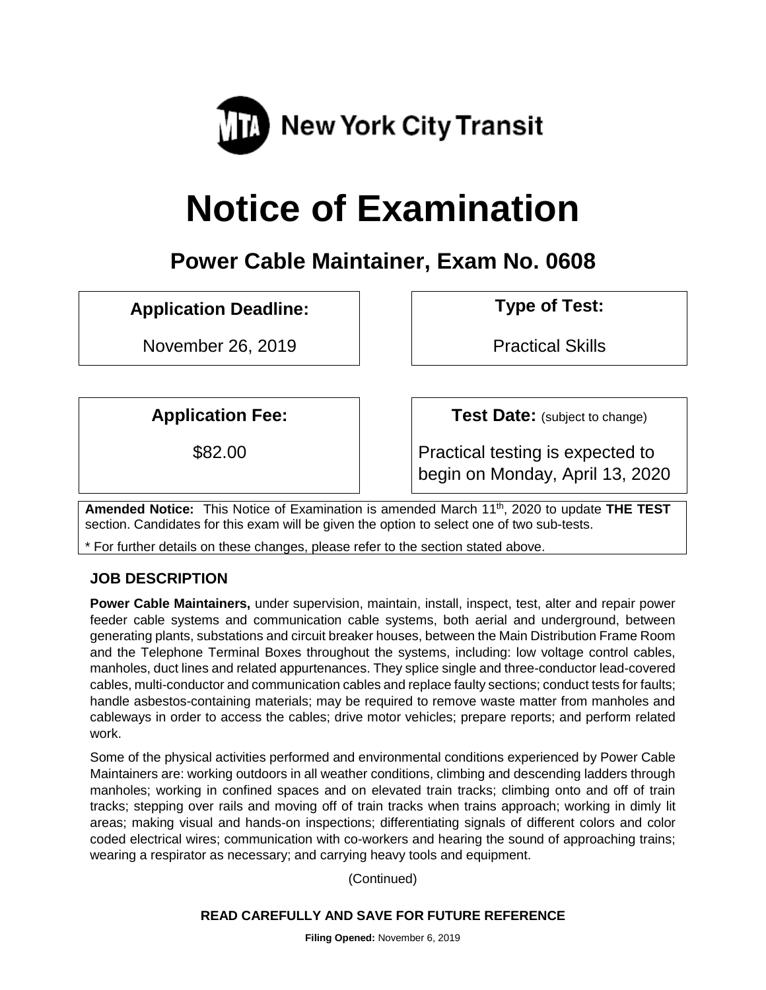

# **Notice of Examination**

# **Power Cable Maintainer, Exam No. 0608**

## **Application Deadline: Type of Test:**

November 26, 2019 | Practical Skills

**Application Fee:**  $\vert$  **Test Date:** (subject to change)

\$82.00 **Practical testing is expected to** begin on Monday, April 13, 2020

**Amended Notice:** This Notice of Examination is amended March 11th, 2020 to update **THE TEST** section. Candidates for this exam will be given the option to select one of two sub-tests.

\* For further details on these changes, please refer to the section stated above.

## **JOB DESCRIPTION**

**Power Cable Maintainers,** under supervision, maintain, install, inspect, test, alter and repair power feeder cable systems and communication cable systems, both aerial and underground, between generating plants, substations and circuit breaker houses, between the Main Distribution Frame Room and the Telephone Terminal Boxes throughout the systems, including: low voltage control cables, manholes, duct lines and related appurtenances. They splice single and three-conductor lead-covered cables, multi-conductor and communication cables and replace faulty sections; conduct tests for faults; handle asbestos-containing materials; may be required to remove waste matter from manholes and cableways in order to access the cables; drive motor vehicles; prepare reports; and perform related work.

Some of the physical activities performed and environmental conditions experienced by Power Cable Maintainers are: working outdoors in all weather conditions, climbing and descending ladders through manholes; working in confined spaces and on elevated train tracks; climbing onto and off of train tracks; stepping over rails and moving off of train tracks when trains approach; working in dimly lit areas; making visual and hands-on inspections; differentiating signals of different colors and color coded electrical wires; communication with co-workers and hearing the sound of approaching trains; wearing a respirator as necessary; and carrying heavy tools and equipment.

(Continued)

#### **READ CAREFULLY AND SAVE FOR FUTURE REFERENCE**

**Filing Opened:** November 6, 2019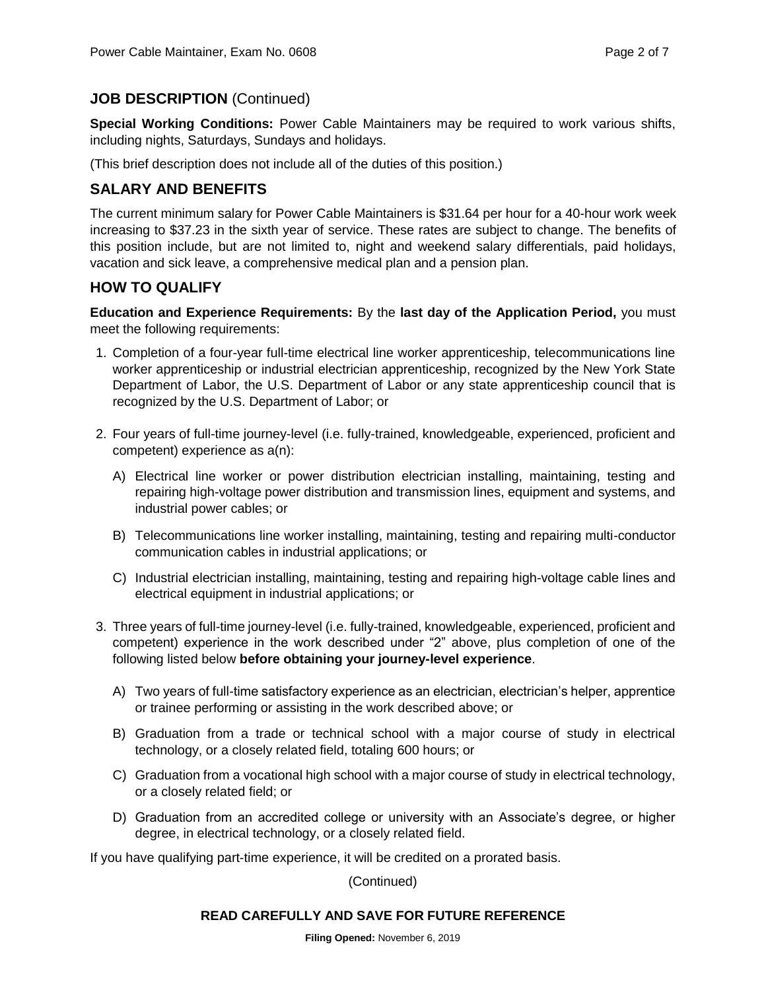## **JOB DESCRIPTION** (Continued)

**Special Working Conditions:** Power Cable Maintainers may be required to work various shifts, including nights, Saturdays, Sundays and holidays.

(This brief description does not include all of the duties of this position.)

## **SALARY AND BENEFITS**

The current minimum salary for Power Cable Maintainers is \$31.64 per hour for a 40-hour work week increasing to \$37.23 in the sixth year of service. These rates are subject to change. The benefits of this position include, but are not limited to, night and weekend salary differentials, paid holidays, vacation and sick leave, a comprehensive medical plan and a pension plan.

## **HOW TO QUALIFY**

**Education and Experience Requirements:** By the **last day of the Application Period,** you must meet the following requirements:

- 1. Completion of a four-year full-time electrical line worker apprenticeship, telecommunications line worker apprenticeship or industrial electrician apprenticeship, recognized by the New York State Department of Labor, the U.S. Department of Labor or any state apprenticeship council that is recognized by the U.S. Department of Labor; or
- 2. Four years of full-time journey-level (i.e. fully-trained, knowledgeable, experienced, proficient and competent) experience as a(n):
	- A) Electrical line worker or power distribution electrician installing, maintaining, testing and repairing high-voltage power distribution and transmission lines, equipment and systems, and industrial power cables; or
	- B) Telecommunications line worker installing, maintaining, testing and repairing multi-conductor communication cables in industrial applications; or
	- C) Industrial electrician installing, maintaining, testing and repairing high-voltage cable lines and electrical equipment in industrial applications; or
- 3. Three years of full-time journey-level (i.e. fully-trained, knowledgeable, experienced, proficient and competent) experience in the work described under "2" above, plus completion of one of the following listed below **before obtaining your journey-level experience**.
	- A) Two years of full-time satisfactory experience as an electrician, electrician's helper, apprentice or trainee performing or assisting in the work described above; or
	- B) Graduation from a trade or technical school with a major course of study in electrical technology, or a closely related field, totaling 600 hours; or
	- C) Graduation from a vocational high school with a major course of study in electrical technology, or a closely related field; or
	- D) Graduation from an accredited college or university with an Associate's degree, or higher degree, in electrical technology, or a closely related field.

If you have qualifying part-time experience, it will be credited on a prorated basis.

(Continued)

#### **READ CAREFULLY AND SAVE FOR FUTURE REFERENCE**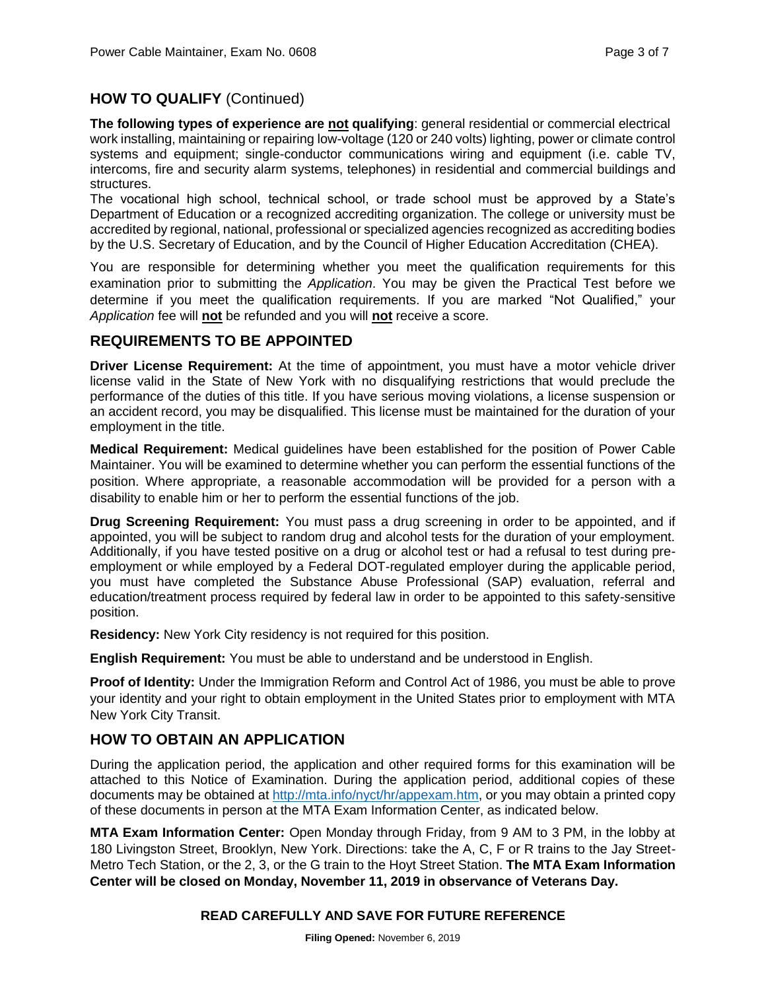## **HOW TO QUALIFY** (Continued)

**The following types of experience are not qualifying**: general residential or commercial electrical work installing, maintaining or repairing low-voltage (120 or 240 volts) lighting, power or climate control systems and equipment; single-conductor communications wiring and equipment (i.e. cable TV, intercoms, fire and security alarm systems, telephones) in residential and commercial buildings and structures.

The vocational high school, technical school, or trade school must be approved by a State's Department of Education or a recognized accrediting organization. The college or university must be accredited by regional, national, professional or specialized agencies recognized as accrediting bodies by the U.S. Secretary of Education, and by the Council of Higher Education Accreditation (CHEA).

You are responsible for determining whether you meet the qualification requirements for this examination prior to submitting the *Application*. You may be given the Practical Test before we determine if you meet the qualification requirements. If you are marked "Not Qualified," your *Application* fee will **not** be refunded and you will **not** receive a score.

#### **REQUIREMENTS TO BE APPOINTED**

**Driver License Requirement:** At the time of appointment, you must have a motor vehicle driver license valid in the State of New York with no disqualifying restrictions that would preclude the performance of the duties of this title. If you have serious moving violations, a license suspension or an accident record, you may be disqualified. This license must be maintained for the duration of your employment in the title.

**Medical Requirement:** Medical guidelines have been established for the position of Power Cable Maintainer. You will be examined to determine whether you can perform the essential functions of the position. Where appropriate, a reasonable accommodation will be provided for a person with a disability to enable him or her to perform the essential functions of the job.

**Drug Screening Requirement:** You must pass a drug screening in order to be appointed, and if appointed, you will be subject to random drug and alcohol tests for the duration of your employment. Additionally, if you have tested positive on a drug or alcohol test or had a refusal to test during preemployment or while employed by a Federal DOT-regulated employer during the applicable period, you must have completed the Substance Abuse Professional (SAP) evaluation, referral and education/treatment process required by federal law in order to be appointed to this safety-sensitive position.

**Residency:** New York City residency is not required for this position.

**English Requirement:** You must be able to understand and be understood in English.

**Proof of Identity:** Under the Immigration Reform and Control Act of 1986, you must be able to prove your identity and your right to obtain employment in the United States prior to employment with MTA New York City Transit.

## **HOW TO OBTAIN AN APPLICATION**

During the application period, the application and other required forms for this examination will be attached to this Notice of Examination. During the application period, additional copies of these documents may be obtained at [http://mta.info/nyct/hr/appexam.htm,](http://mta.info/nyct/hr/appexam.htm) or you may obtain a printed copy of these documents in person at the MTA Exam Information Center, as indicated below.

**MTA Exam Information Center:** Open Monday through Friday, from 9 AM to 3 PM, in the lobby at 180 Livingston Street, Brooklyn, New York. Directions: take the A, C, F or R trains to the Jay Street-Metro Tech Station, or the 2, 3, or the G train to the Hoyt Street Station. **The MTA Exam Information Center will be closed on Monday, November 11, 2019 in observance of Veterans Day.**

#### **READ CAREFULLY AND SAVE FOR FUTURE REFERENCE**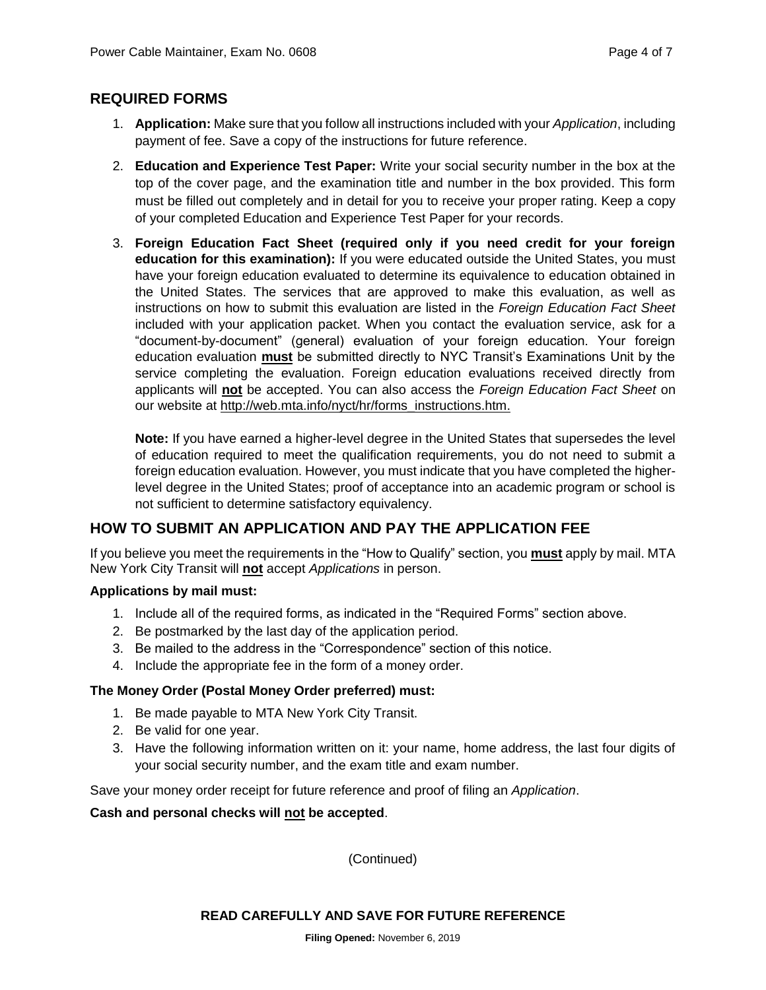## **REQUIRED FORMS**

- 1. **Application:** Make sure that you follow all instructions included with your *Application*, including payment of fee. Save a copy of the instructions for future reference.
- 2. **Education and Experience Test Paper:** Write your social security number in the box at the top of the cover page, and the examination title and number in the box provided. This form must be filled out completely and in detail for you to receive your proper rating. Keep a copy of your completed Education and Experience Test Paper for your records.
- 3. **Foreign Education Fact Sheet (required only if you need credit for your foreign education for this examination):** If you were educated outside the United States, you must have your foreign education evaluated to determine its equivalence to education obtained in the United States. The services that are approved to make this evaluation, as well as instructions on how to submit this evaluation are listed in the *Foreign Education Fact Sheet* included with your application packet. When you contact the evaluation service, ask for a "document-by-document" (general) evaluation of your foreign education. Your foreign education evaluation **must** be submitted directly to NYC Transit's Examinations Unit by the service completing the evaluation. Foreign education evaluations received directly from applicants will **not** be accepted. You can also access the *Foreign Education Fact Sheet* on our website at http://web.mta.info/nyct/hr/forms\_instructions.htm.

**Note:** If you have earned a higher-level degree in the United States that supersedes the level of education required to meet the qualification requirements, you do not need to submit a foreign education evaluation. However, you must indicate that you have completed the higherlevel degree in the United States; proof of acceptance into an academic program or school is not sufficient to determine satisfactory equivalency.

## **HOW TO SUBMIT AN APPLICATION AND PAY THE APPLICATION FEE**

If you believe you meet the requirements in the "How to Qualify" section, you **must** apply by mail. MTA New York City Transit will **not** accept *Applications* in person.

#### **Applications by mail must:**

- 1. Include all of the required forms, as indicated in the "Required Forms" section above.
- 2. Be postmarked by the last day of the application period.
- 3. Be mailed to the address in the "Correspondence" section of this notice.
- 4. Include the appropriate fee in the form of a money order.

#### **The Money Order (Postal Money Order preferred) must:**

- 1. Be made payable to MTA New York City Transit.
- 2. Be valid for one year.
- 3. Have the following information written on it: your name, home address, the last four digits of your social security number, and the exam title and exam number.

Save your money order receipt for future reference and proof of filing an *Application*.

**Cash and personal checks will not be accepted**.

(Continued)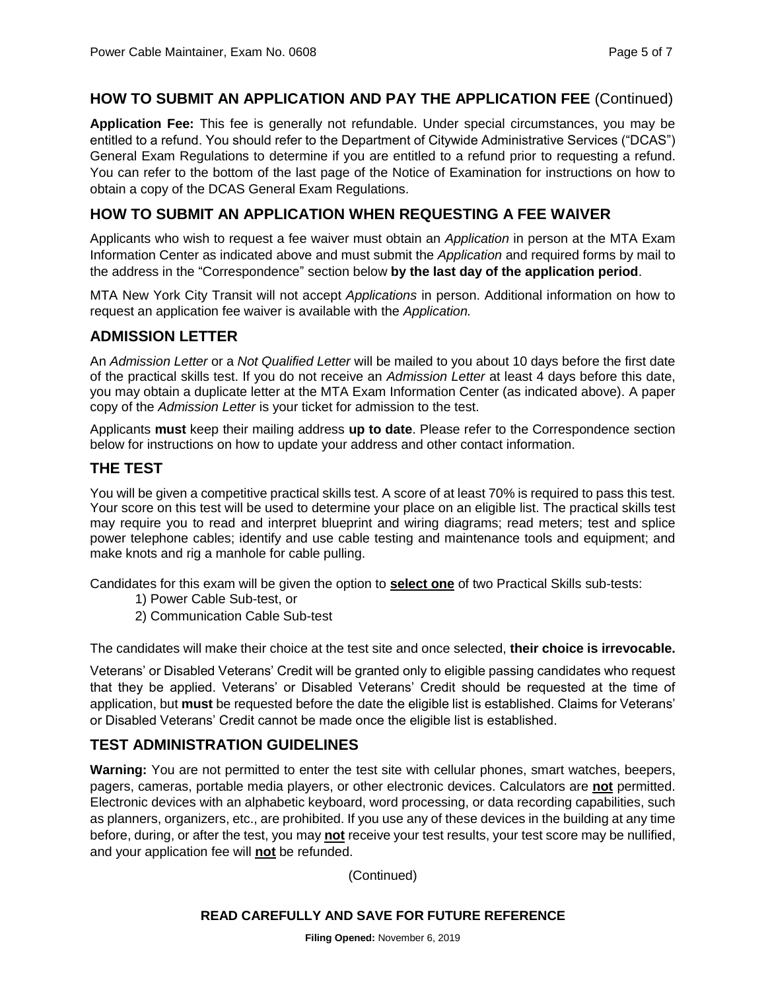## **HOW TO SUBMIT AN APPLICATION AND PAY THE APPLICATION FEE** (Continued)

**Application Fee:** This fee is generally not refundable. Under special circumstances, you may be entitled to a refund. You should refer to the Department of Citywide Administrative Services ("DCAS") General Exam Regulations to determine if you are entitled to a refund prior to requesting a refund. You can refer to the bottom of the last page of the Notice of Examination for instructions on how to obtain a copy of the DCAS General Exam Regulations.

## **HOW TO SUBMIT AN APPLICATION WHEN REQUESTING A FEE WAIVER**

Applicants who wish to request a fee waiver must obtain an *Application* in person at the MTA Exam Information Center as indicated above and must submit the *Application* and required forms by mail to the address in the "Correspondence" section below **by the last day of the application period**.

MTA New York City Transit will not accept *Applications* in person. Additional information on how to request an application fee waiver is available with the *Application.*

## **ADMISSION LETTER**

An *Admission Letter* or a *Not Qualified Letter* will be mailed to you about 10 days before the first date of the practical skills test. If you do not receive an *Admission Letter* at least 4 days before this date, you may obtain a duplicate letter at the MTA Exam Information Center (as indicated above). A paper copy of the *Admission Letter* is your ticket for admission to the test.

Applicants **must** keep their mailing address **up to date**. Please refer to the Correspondence section below for instructions on how to update your address and other contact information.

## **THE TEST**

You will be given a competitive practical skills test. A score of at least 70% is required to pass this test. Your score on this test will be used to determine your place on an eligible list. The practical skills test may require you to read and interpret blueprint and wiring diagrams; read meters; test and splice power telephone cables; identify and use cable testing and maintenance tools and equipment; and make knots and rig a manhole for cable pulling.

Candidates for this exam will be given the option to **select one** of two Practical Skills sub-tests:

- 1) Power Cable Sub-test, or
- 2) Communication Cable Sub-test

The candidates will make their choice at the test site and once selected, **their choice is irrevocable.**

Veterans' or Disabled Veterans' Credit will be granted only to eligible passing candidates who request that they be applied. Veterans' or Disabled Veterans' Credit should be requested at the time of application, but **must** be requested before the date the eligible list is established. Claims for Veterans' or Disabled Veterans' Credit cannot be made once the eligible list is established.

## **TEST ADMINISTRATION GUIDELINES**

**Warning:** You are not permitted to enter the test site with cellular phones, smart watches, beepers, pagers, cameras, portable media players, or other electronic devices. Calculators are **not** permitted. Electronic devices with an alphabetic keyboard, word processing, or data recording capabilities, such as planners, organizers, etc., are prohibited. If you use any of these devices in the building at any time before, during, or after the test, you may **not** receive your test results, your test score may be nullified, and your application fee will **not** be refunded.

(Continued)

#### **READ CAREFULLY AND SAVE FOR FUTURE REFERENCE**

**Filing Opened:** November 6, 2019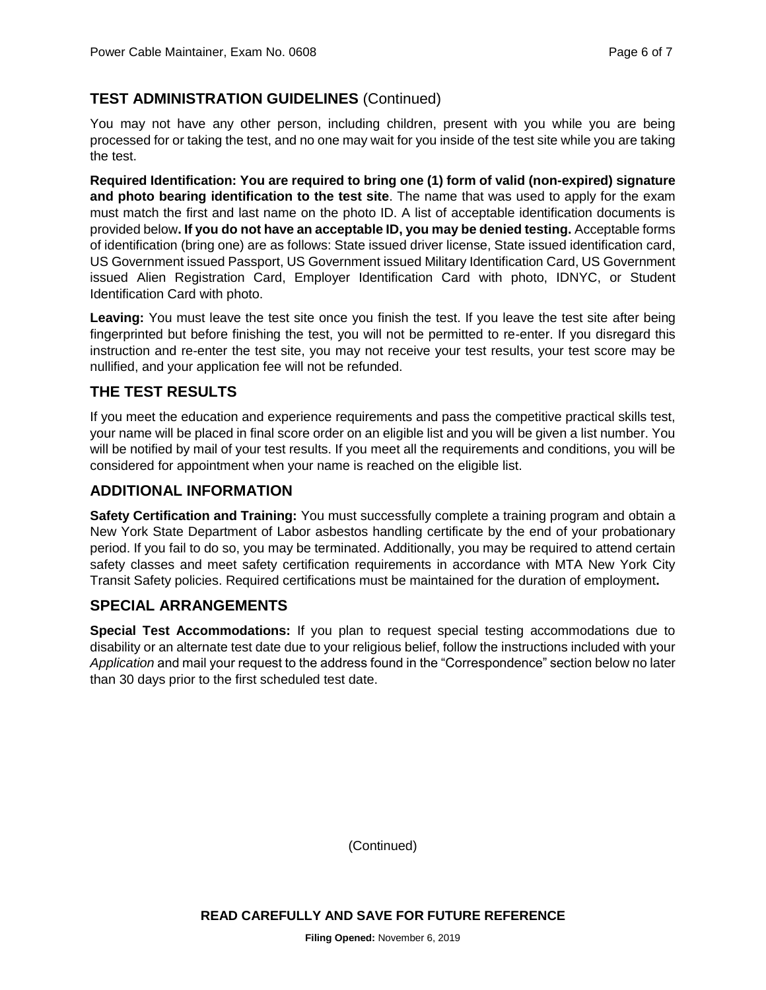## **TEST ADMINISTRATION GUIDELINES** (Continued)

You may not have any other person, including children, present with you while you are being processed for or taking the test, and no one may wait for you inside of the test site while you are taking the test.

**Required Identification: You are required to bring one (1) form of valid (non-expired) signature and photo bearing identification to the test site**. The name that was used to apply for the exam must match the first and last name on the photo ID. A list of acceptable identification documents is provided below**. If you do not have an acceptable ID, you may be denied testing.** Acceptable forms of identification (bring one) are as follows: State issued driver license, State issued identification card, US Government issued Passport, US Government issued Military Identification Card, US Government issued Alien Registration Card, Employer Identification Card with photo, IDNYC, or Student Identification Card with photo.

**Leaving:** You must leave the test site once you finish the test. If you leave the test site after being fingerprinted but before finishing the test, you will not be permitted to re-enter. If you disregard this instruction and re-enter the test site, you may not receive your test results, your test score may be nullified, and your application fee will not be refunded.

## **THE TEST RESULTS**

If you meet the education and experience requirements and pass the competitive practical skills test, your name will be placed in final score order on an eligible list and you will be given a list number. You will be notified by mail of your test results. If you meet all the requirements and conditions, you will be considered for appointment when your name is reached on the eligible list.

## **ADDITIONAL INFORMATION**

**Safety Certification and Training:** You must successfully complete a training program and obtain a New York State Department of Labor asbestos handling certificate by the end of your probationary period. If you fail to do so, you may be terminated. Additionally, you may be required to attend certain safety classes and meet safety certification requirements in accordance with MTA New York City Transit Safety policies. Required certifications must be maintained for the duration of employment**.** 

## **SPECIAL ARRANGEMENTS**

**Special Test Accommodations:** If you plan to request special testing accommodations due to disability or an alternate test date due to your religious belief, follow the instructions included with your *Application* and mail your request to the address found in the "Correspondence" section below no later than 30 days prior to the first scheduled test date.

(Continued)